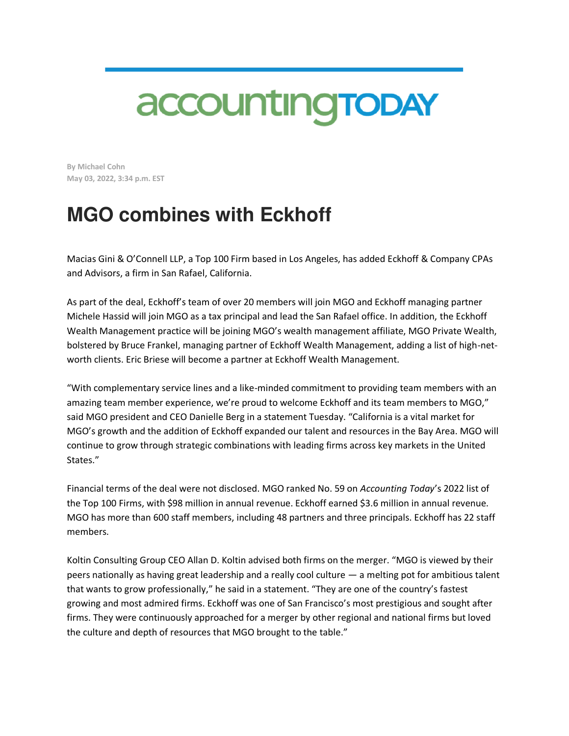## accounting TODAY

**By Michael Cohn May 03, 2022, 3:34 p.m. EST** 

## **MGO combines with Eckhoff**

Macias Gini & O'Connell LLP, a Top 100 Firm based in Los Angeles, has added Eckhoff & Company CPAs and Advisors, a firm in San Rafael, California.

As part of the deal, Eckhoff's team of over 20 members will join MGO and Eckhoff managing partner Michele Hassid will join MGO as a tax principal and lead the San Rafael office. In addition, the Eckhoff Wealth Management practice will be joining MGO's wealth management affiliate, MGO Private Wealth, bolstered by Bruce Frankel, managing partner of Eckhoff Wealth Management, adding a list of high-networth clients. Eric Briese will become a partner at Eckhoff Wealth Management.

"With complementary service lines and a like-minded commitment to providing team members with an amazing team member experience, we're proud to welcome Eckhoff and its team members to MGO," said MGO president and CEO Danielle Berg in a statement Tuesday. "California is a vital market for MGO's growth and the addition of Eckhoff expanded our talent and resources in the Bay Area. MGO will continue to grow through strategic combinations with leading firms across key markets in the United States."

Financial terms of the deal were not disclosed. MGO ranked No. 59 on *Accounting Today*'s 2022 list of the Top 100 Firms, with \$98 million in annual revenue. Eckhoff earned \$3.6 million in annual revenue. MGO has more than 600 staff members, including 48 partners and three principals. Eckhoff has 22 staff members.

Koltin Consulting Group CEO Allan D. Koltin advised both firms on the merger. "MGO is viewed by their peers nationally as having great leadership and a really cool culture — a melting pot for ambitious talent that wants to grow professionally," he said in a statement. "They are one of the country's fastest growing and most admired firms. Eckhoff was one of San Francisco's most prestigious and sought after firms. They were continuously approached for a merger by other regional and national firms but loved the culture and depth of resources that MGO brought to the table."